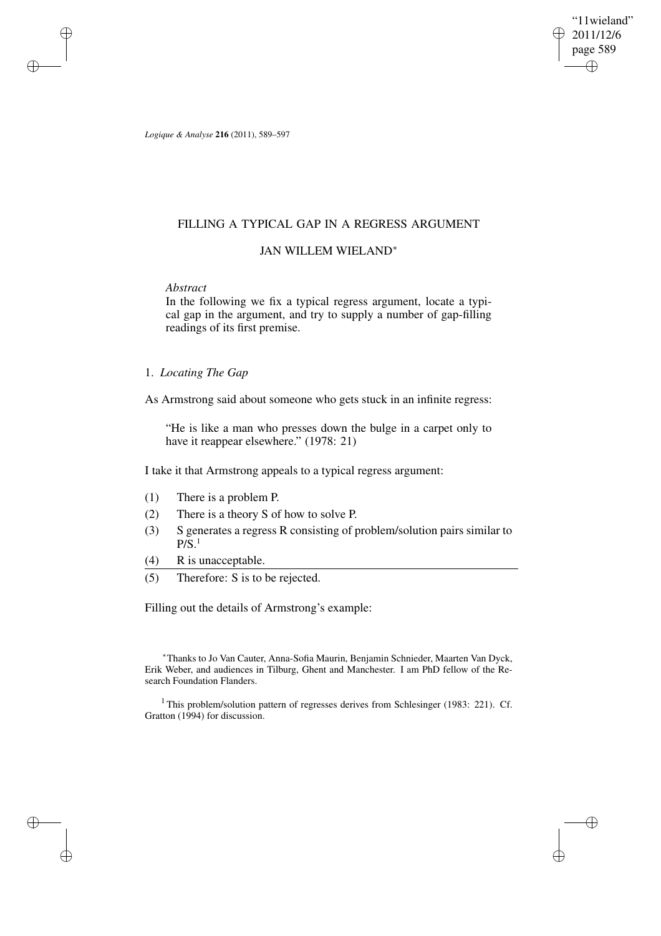"11wieland" 2011/12/6 page 589 ✐ ✐

✐

✐

*Logique & Analyse* **216** (2011), 589–597

# FILLING A TYPICAL GAP IN A REGRESS ARGUMENT

### JAN WILLEM WIELAND<sup>∗</sup>

## *Abstract*

✐

✐

✐

✐

In the following we fix a typical regress argument, locate a typical gap in the argument, and try to supply a number of gap-filling readings of its first premise.

## 1. *Locating The Gap*

As Armstrong said about someone who gets stuck in an infinite regress:

"He is like a man who presses down the bulge in a carpet only to have it reappear elsewhere." (1978: 21)

I take it that Armstrong appeals to a typical regress argument:

- (1) There is a problem P.
- (2) There is a theory S of how to solve P.
- (3) S generates a regress R consisting of problem/solution pairs similar to  $P/S$ <sup>1</sup>
- (4) R is unacceptable.
- (5) Therefore: S is to be rejected.

Filling out the details of Armstrong's example:

<sup>∗</sup>Thanks to Jo Van Cauter, Anna-Sofia Maurin, Benjamin Schnieder, Maarten Van Dyck, Erik Weber, and audiences in Tilburg, Ghent and Manchester. I am PhD fellow of the Research Foundation Flanders.

<sup>1</sup> This problem/solution pattern of regresses derives from Schlesinger (1983: 221). Cf. Gratton (1994) for discussion.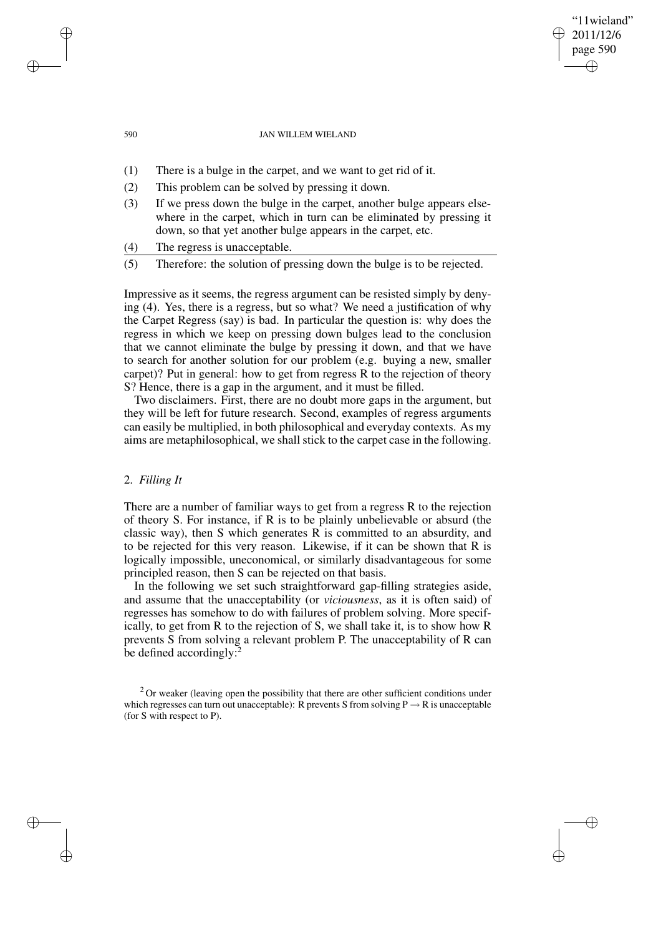#### 590 JAN WILLEM WIELAND

"11wieland" 2011/12/6 page 590

✐

✐

✐

✐

- (1) There is a bulge in the carpet, and we want to get rid of it.
- (2) This problem can be solved by pressing it down.
- (3) If we press down the bulge in the carpet, another bulge appears elsewhere in the carpet, which in turn can be eliminated by pressing it down, so that yet another bulge appears in the carpet, etc.
- (4) The regress is unacceptable.
- (5) Therefore: the solution of pressing down the bulge is to be rejected.

Impressive as it seems, the regress argument can be resisted simply by denying (4). Yes, there is a regress, but so what? We need a justification of why the Carpet Regress (say) is bad. In particular the question is: why does the regress in which we keep on pressing down bulges lead to the conclusion that we cannot eliminate the bulge by pressing it down, and that we have to search for another solution for our problem (e.g. buying a new, smaller carpet)? Put in general: how to get from regress R to the rejection of theory S? Hence, there is a gap in the argument, and it must be filled.

Two disclaimers. First, there are no doubt more gaps in the argument, but they will be left for future research. Second, examples of regress arguments can easily be multiplied, in both philosophical and everyday contexts. As my aims are metaphilosophical, we shall stick to the carpet case in the following.

### 2. *Filling It*

There are a number of familiar ways to get from a regress R to the rejection of theory S. For instance, if R is to be plainly unbelievable or absurd (the classic way), then S which generates R is committed to an absurdity, and to be rejected for this very reason. Likewise, if it can be shown that R is logically impossible, uneconomical, or similarly disadvantageous for some principled reason, then S can be rejected on that basis.

In the following we set such straightforward gap-filling strategies aside, and assume that the unacceptability (or *viciousness*, as it is often said) of regresses has somehow to do with failures of problem solving. More specifically, to get from R to the rejection of S, we shall take it, is to show how R prevents S from solving a relevant problem P. The unacceptability of R can be defined accordingly:<sup>2</sup>

✐

✐

✐

 $2$  Or weaker (leaving open the possibility that there are other sufficient conditions under which regresses can turn out unacceptable): R prevents S from solving  $P \rightarrow R$  is unacceptable (for S with respect to P).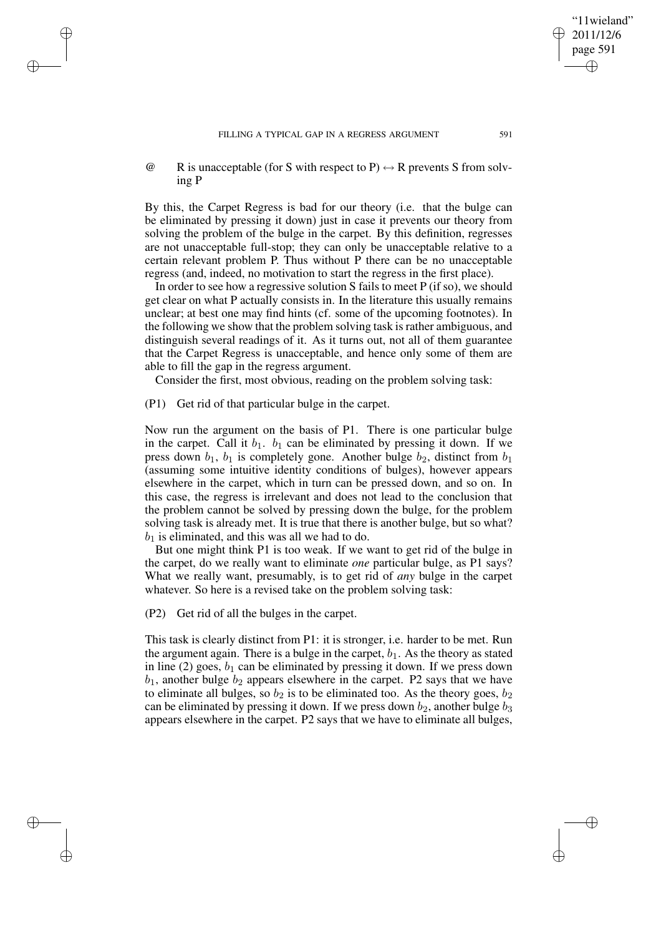$\omega$  R is unacceptable (for S with respect to P)  $\leftrightarrow$  R prevents S from solving P

By this, the Carpet Regress is bad for our theory (i.e. that the bulge can be eliminated by pressing it down) just in case it prevents our theory from solving the problem of the bulge in the carpet. By this definition, regresses are not unacceptable full-stop; they can only be unacceptable relative to a certain relevant problem P. Thus without P there can be no unacceptable regress (and, indeed, no motivation to start the regress in the first place).

In order to see how a regressive solution S fails to meet P (if so), we should get clear on what P actually consists in. In the literature this usually remains unclear; at best one may find hints (cf. some of the upcoming footnotes). In the following we show that the problem solving task israther ambiguous, and distinguish several readings of it. As it turns out, not all of them guarantee that the Carpet Regress is unacceptable, and hence only some of them are able to fill the gap in the regress argument.

Consider the first, most obvious, reading on the problem solving task:

(P1) Get rid of that particular bulge in the carpet.

✐

✐

✐

✐

Now run the argument on the basis of P1. There is one particular bulge in the carpet. Call it  $b_1$ .  $b_1$  can be eliminated by pressing it down. If we press down  $b_1$ ,  $b_1$  is completely gone. Another bulge  $b_2$ , distinct from  $b_1$ (assuming some intuitive identity conditions of bulges), however appears elsewhere in the carpet, which in turn can be pressed down, and so on. In this case, the regress is irrelevant and does not lead to the conclusion that the problem cannot be solved by pressing down the bulge, for the problem solving task is already met. It is true that there is another bulge, but so what?  $b_1$  is eliminated, and this was all we had to do.

But one might think P1 is too weak. If we want to get rid of the bulge in the carpet, do we really want to eliminate *one* particular bulge, as P1 says? What we really want, presumably, is to get rid of *any* bulge in the carpet whatever. So here is a revised take on the problem solving task:

(P2) Get rid of all the bulges in the carpet.

This task is clearly distinct from P1: it is stronger, i.e. harder to be met. Run the argument again. There is a bulge in the carpet,  $b_1$ . As the theory as stated in line (2) goes,  $b_1$  can be eliminated by pressing it down. If we press down  $b_1$ , another bulge  $b_2$  appears elsewhere in the carpet. P2 says that we have to eliminate all bulges, so  $b_2$  is to be eliminated too. As the theory goes,  $b_2$ can be eliminated by pressing it down. If we press down  $b_2$ , another bulge  $b_3$ appears elsewhere in the carpet. P2 says that we have to eliminate all bulges,

"11wieland" 2011/12/6 page 591

✐

✐

✐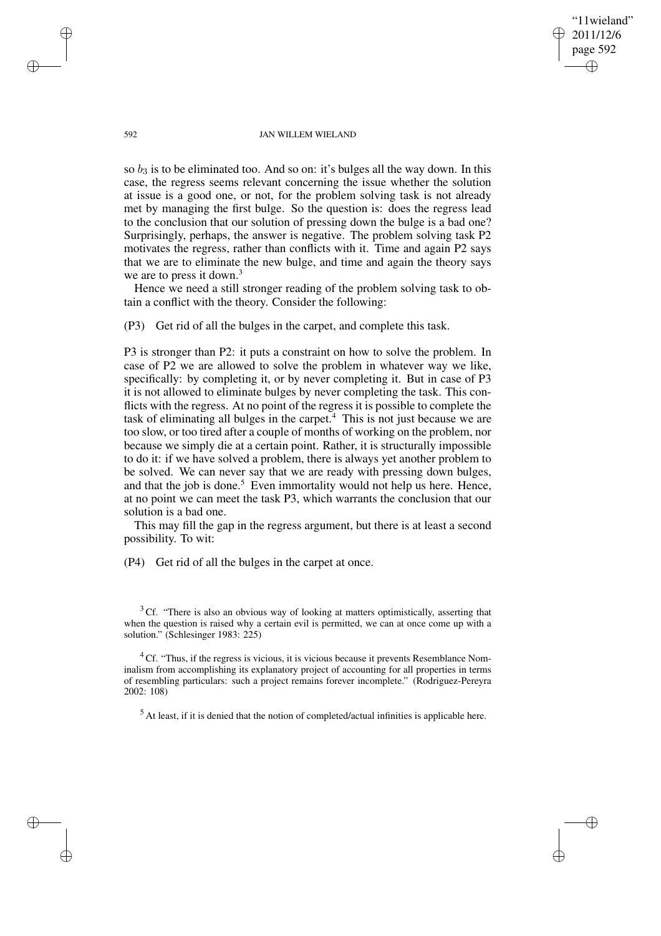'11wieland" 2011/12/6 page 592 ✐ ✐

✐

✐

#### 592 JAN WILLEM WIELAND

so  $b_3$  is to be eliminated too. And so on: it's bulges all the way down. In this case, the regress seems relevant concerning the issue whether the solution at issue is a good one, or not, for the problem solving task is not already met by managing the first bulge. So the question is: does the regress lead to the conclusion that our solution of pressing down the bulge is a bad one? Surprisingly, perhaps, the answer is negative. The problem solving task P2 motivates the regress, rather than conflicts with it. Time and again P2 says that we are to eliminate the new bulge, and time and again the theory says we are to press it down.<sup>3</sup>

Hence we need a still stronger reading of the problem solving task to obtain a conflict with the theory. Consider the following:

(P3) Get rid of all the bulges in the carpet, and complete this task.

P3 is stronger than P2: it puts a constraint on how to solve the problem. In case of P2 we are allowed to solve the problem in whatever way we like, specifically: by completing it, or by never completing it. But in case of P3 it is not allowed to eliminate bulges by never completing the task. This conflicts with the regress. At no point of the regress it is possible to complete the task of eliminating all bulges in the carpet.<sup>4</sup> This is not just because we are too slow, or too tired after a couple of months of working on the problem, nor because we simply die at a certain point. Rather, it is structurally impossible to do it: if we have solved a problem, there is always yet another problem to be solved. We can never say that we are ready with pressing down bulges, and that the job is done.<sup>5</sup> Even immortality would not help us here. Hence, at no point we can meet the task P3, which warrants the conclusion that our solution is a bad one.

This may fill the gap in the regress argument, but there is at least a second possibility. To wit:

(P4) Get rid of all the bulges in the carpet at once.

<sup>3</sup> Cf. "There is also an obvious way of looking at matters optimistically, asserting that when the question is raised why a certain evil is permitted, we can at once come up with a solution." (Schlesinger 1983: 225)

 ${}^{4}$ Cf. "Thus, if the regress is vicious, it is vicious because it prevents Resemblance Nominalism from accomplishing its explanatory project of accounting for all properties in terms of resembling particulars: such a project remains forever incomplete." (Rodriguez-Pereyra 2002: 108)

 $<sup>5</sup>$  At least, if it is denied that the notion of completed/actual infinities is applicable here.</sup>

✐

✐

✐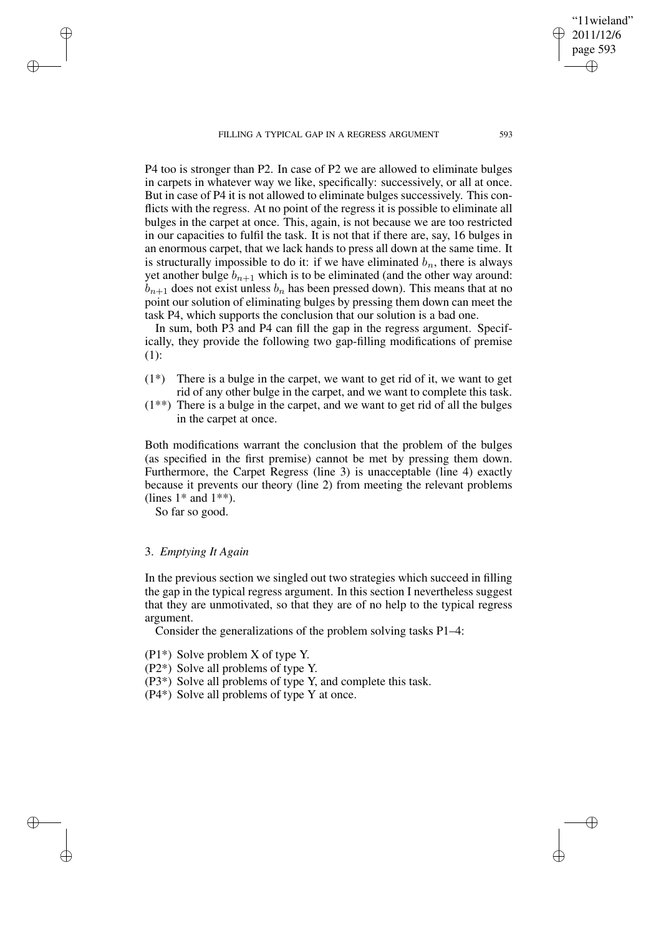FILLING A TYPICAL GAP IN A REGRESS ARGUMENT 593

P4 too is stronger than P2. In case of P2 we are allowed to eliminate bulges in carpets in whatever way we like, specifically: successively, or all at once. But in case of P4 it is not allowed to eliminate bulges successively. This conflicts with the regress. At no point of the regress it is possible to eliminate all bulges in the carpet at once. This, again, is not because we are too restricted in our capacities to fulfil the task. It is not that if there are, say, 16 bulges in an enormous carpet, that we lack hands to press all down at the same time. It is structurally impossible to do it: if we have eliminated  $b_n$ , there is always yet another bulge  $b_{n+1}$  which is to be eliminated (and the other way around:  $b_{n+1}$  does not exist unless  $b_n$  has been pressed down). This means that at no point our solution of eliminating bulges by pressing them down can meet the task P4, which supports the conclusion that our solution is a bad one.

In sum, both P3 and P4 can fill the gap in the regress argument. Specifically, they provide the following two gap-filling modifications of premise (1):

- (1\*) There is a bulge in the carpet, we want to get rid of it, we want to get rid of any other bulge in the carpet, and we want to complete this task.
- (1\*\*) There is a bulge in the carpet, and we want to get rid of all the bulges in the carpet at once.

Both modifications warrant the conclusion that the problem of the bulges (as specified in the first premise) cannot be met by pressing them down. Furthermore, the Carpet Regress (line 3) is unacceptable (line 4) exactly because it prevents our theory (line 2) from meeting the relevant problems (lines  $1*$  and  $1**$ ).

So far so good.

✐

✐

✐

✐

### 3. *Emptying It Again*

In the previous section we singled out two strategies which succeed in filling the gap in the typical regress argument. In this section I nevertheless suggest that they are unmotivated, so that they are of no help to the typical regress argument.

Consider the generalizations of the problem solving tasks P1–4:

(P1\*) Solve problem X of type Y.

- (P2\*) Solve all problems of type Y.
- (P3\*) Solve all problems of type Y, and complete this task.

(P4\*) Solve all problems of type Y at once.

"11wieland" 2011/12/6 page 593

✐

✐

✐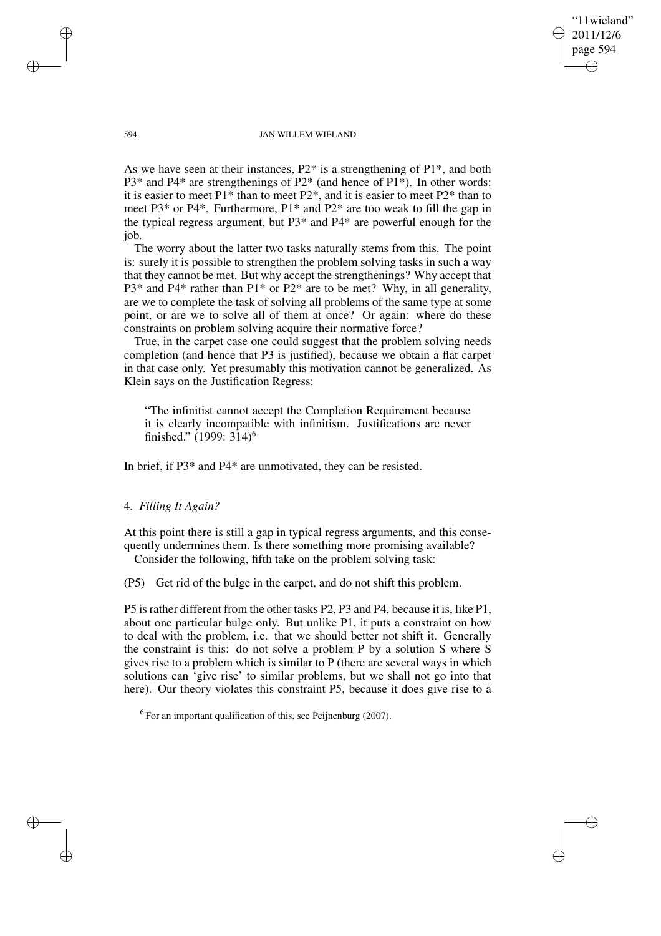'11wieland" 2011/12/6 page 594 ✐ ✐

✐

✐

#### 594 JAN WILLEM WIELAND

As we have seen at their instances,  $P2^*$  is a strengthening of  $P1^*$ , and both P3\* and P4\* are strengthenings of P2\* (and hence of P1\*). In other words: it is easier to meet P1\* than to meet P2\*, and it is easier to meet P2\* than to meet P3\* or P4\*. Furthermore, P1\* and P2\* are too weak to fill the gap in the typical regress argument, but P3\* and P4\* are powerful enough for the job.

The worry about the latter two tasks naturally stems from this. The point is: surely it is possible to strengthen the problem solving tasks in such a way that they cannot be met. But why accept the strengthenings? Why accept that  $P3*$  and  $P4*$  rather than  $P1*$  or  $P2*$  are to be met? Why, in all generality, are we to complete the task of solving all problems of the same type at some point, or are we to solve all of them at once? Or again: where do these constraints on problem solving acquire their normative force?

True, in the carpet case one could suggest that the problem solving needs completion (and hence that P3 is justified), because we obtain a flat carpet in that case only. Yet presumably this motivation cannot be generalized. As Klein says on the Justification Regress:

"The infinitist cannot accept the Completion Requirement because it is clearly incompatible with infinitism. Justifications are never finished." (1999: 314)<sup>6</sup>

In brief, if P3\* and P4\* are unmotivated, they can be resisted.

### 4. *Filling It Again?*

At this point there is still a gap in typical regress arguments, and this consequently undermines them. Is there something more promising available? Consider the following, fifth take on the problem solving task:

(P5) Get rid of the bulge in the carpet, and do not shift this problem.

P5 israther different from the other tasks P2, P3 and P4, because it is, like P1, about one particular bulge only. But unlike P1, it puts a constraint on how to deal with the problem, i.e. that we should better not shift it. Generally the constraint is this: do not solve a problem P by a solution S where S gives rise to a problem which is similar to P (there are several ways in which solutions can 'give rise' to similar problems, but we shall not go into that here). Our theory violates this constraint P5, because it does give rise to a

 $<sup>6</sup>$  For an important qualification of this, see Peijnenburg (2007).</sup>

✐

✐

✐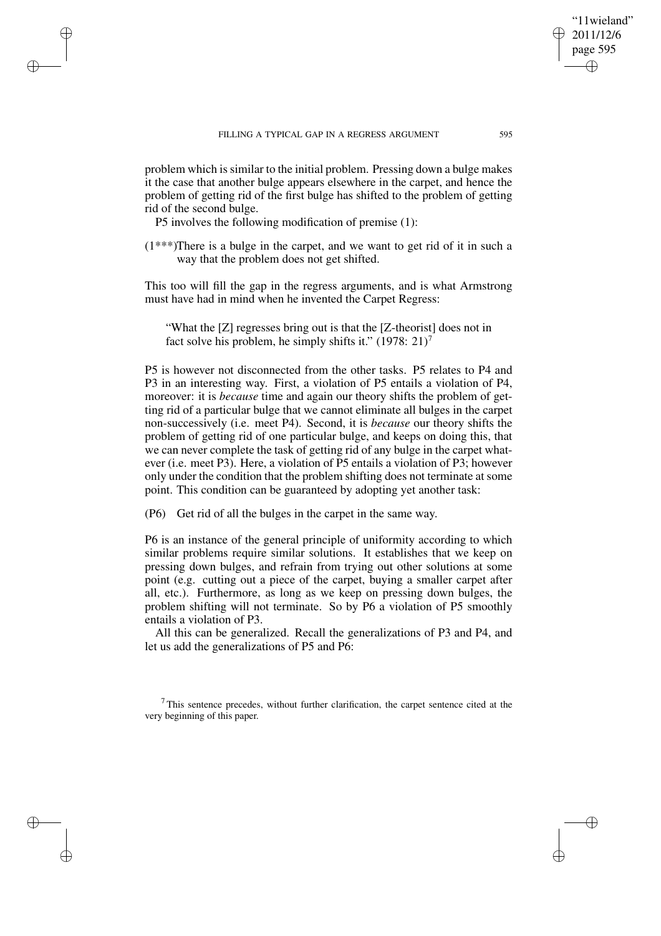problem which is similar to the initial problem. Pressing down a bulge makes it the case that another bulge appears elsewhere in the carpet, and hence the problem of getting rid of the first bulge has shifted to the problem of getting rid of the second bulge.

P5 involves the following modification of premise (1):

✐

✐

✐

✐

(1\*\*\*)There is a bulge in the carpet, and we want to get rid of it in such a way that the problem does not get shifted.

This too will fill the gap in the regress arguments, and is what Armstrong must have had in mind when he invented the Carpet Regress:

"What the [Z] regresses bring out is that the [Z-theorist] does not in fact solve his problem, he simply shifts it."  $(1978: 21)^7$ 

P5 is however not disconnected from the other tasks. P5 relates to P4 and P3 in an interesting way. First, a violation of P5 entails a violation of P4, moreover: it is *because* time and again our theory shifts the problem of getting rid of a particular bulge that we cannot eliminate all bulges in the carpet non-successively (i.e. meet P4). Second, it is *because* our theory shifts the problem of getting rid of one particular bulge, and keeps on doing this, that we can never complete the task of getting rid of any bulge in the carpet whatever (i.e. meet P3). Here, a violation of P5 entails a violation of P3; however only under the condition that the problem shifting does not terminate at some point. This condition can be guaranteed by adopting yet another task:

(P6) Get rid of all the bulges in the carpet in the same way.

P6 is an instance of the general principle of uniformity according to which similar problems require similar solutions. It establishes that we keep on pressing down bulges, and refrain from trying out other solutions at some point (e.g. cutting out a piece of the carpet, buying a smaller carpet after all, etc.). Furthermore, as long as we keep on pressing down bulges, the problem shifting will not terminate. So by P6 a violation of P5 smoothly entails a violation of P3.

All this can be generalized. Recall the generalizations of P3 and P4, and let us add the generalizations of P5 and P6:

"11wieland" 2011/12/6 page 595

✐

✐

✐

<sup>7</sup> This sentence precedes, without further clarification, the carpet sentence cited at the very beginning of this paper.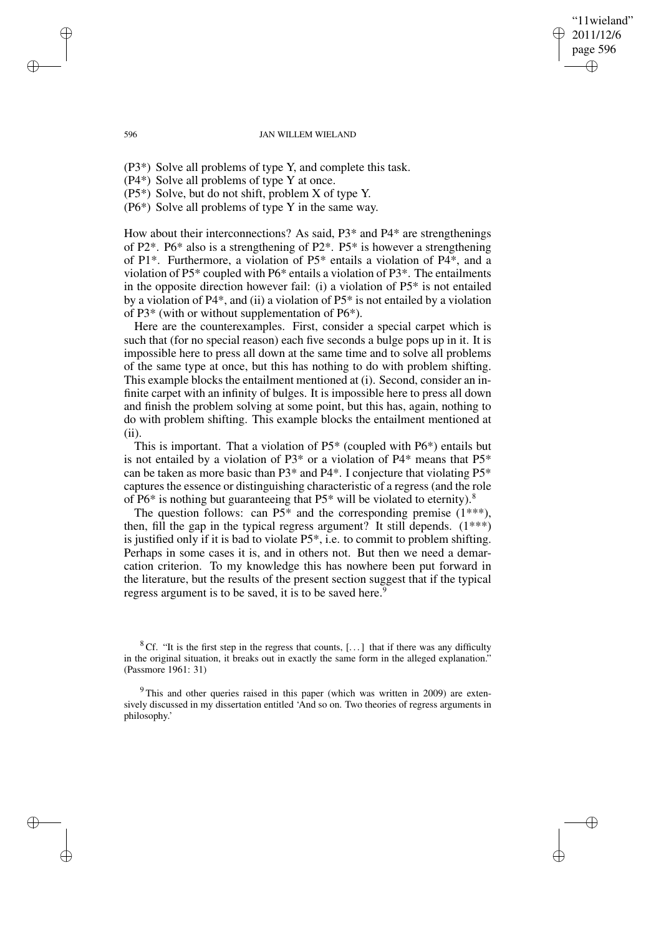#### 596 JAN WILLEM WIELAND

'11wieland" 2011/12/6 page 596

✐

✐

✐

✐

(P3\*) Solve all problems of type Y, and complete this task.

(P4\*) Solve all problems of type Y at once.

(P5\*) Solve, but do not shift, problem X of type Y.

(P6\*) Solve all problems of type Y in the same way.

How about their interconnections? As said, P3\* and P4\* are strengthenings of P2\*. P6\* also is a strengthening of P2\*. P5\* is however a strengthening of P1\*. Furthermore, a violation of P5\* entails a violation of P4\*, and a violation of P5\* coupled with P6\* entails a violation of P3\*. The entailments in the opposite direction however fail: (i) a violation of P5\* is not entailed by a violation of P4\*, and (ii) a violation of P5\* is not entailed by a violation of P3\* (with or without supplementation of P6\*).

Here are the counterexamples. First, consider a special carpet which is such that (for no special reason) each five seconds a bulge pops up in it. It is impossible here to press all down at the same time and to solve all problems of the same type at once, but this has nothing to do with problem shifting. This example blocks the entailment mentioned at (i). Second, consider an infinite carpet with an infinity of bulges. It is impossible here to press all down and finish the problem solving at some point, but this has, again, nothing to do with problem shifting. This example blocks the entailment mentioned at (ii).

This is important. That a violation of P5\* (coupled with P6\*) entails but is not entailed by a violation of  $P3*$  or a violation of  $P4*$  means that  $P5*$ can be taken as more basic than P3\* and P4\*. I conjecture that violating P5\* captures the essence or distinguishing characteristic of a regress (and the role of P6\* is nothing but guaranteeing that P5\* will be violated to eternity).<sup>8</sup>

The question follows: can  $P5^*$  and the corresponding premise  $(1^{***})$ , then, fill the gap in the typical regress argument? It still depends.  $(1^{***})$ is justified only if it is bad to violate P5\*, i.e. to commit to problem shifting. Perhaps in some cases it is, and in others not. But then we need a demarcation criterion. To my knowledge this has nowhere been put forward in the literature, but the results of the present section suggest that if the typical regress argument is to be saved, it is to be saved here.<sup>9</sup>

✐

✐

✐

<sup>&</sup>lt;sup>8</sup> Cf. "It is the first step in the regress that counts,  $[...]$  that if there was any difficulty in the original situation, it breaks out in exactly the same form in the alleged explanation." (Passmore 1961: 31)

<sup>&</sup>lt;sup>9</sup> This and other queries raised in this paper (which was written in 2009) are extensively discussed in my dissertation entitled 'And so on. Two theories of regress arguments in philosophy.'